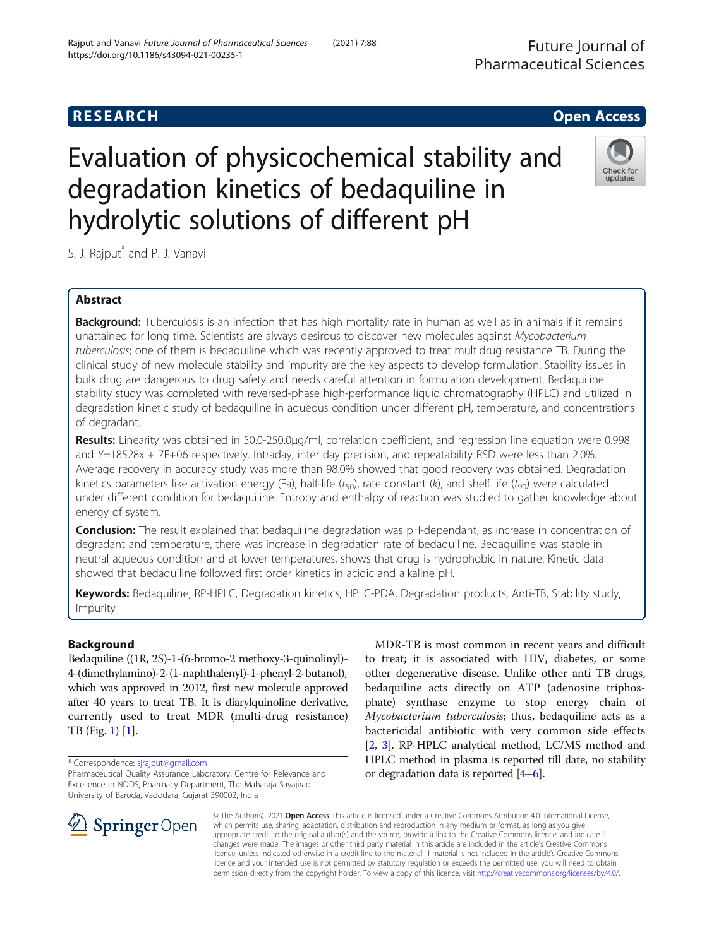# **RESEARCH CHE Open Access**

# Evaluation of physicochemical stability and degradation kinetics of bedaquiline in hydrolytic solutions of different pH

S. J. Rajput<sup>\*</sup> and P. J. Vanavi

# Abstract

Background: Tuberculosis is an infection that has high mortality rate in human as well as in animals if it remains unattained for long time. Scientists are always desirous to discover new molecules against Mycobacterium tuberculosis; one of them is bedaquiline which was recently approved to treat multidrug resistance TB. During the clinical study of new molecule stability and impurity are the key aspects to develop formulation. Stability issues in bulk drug are dangerous to drug safety and needs careful attention in formulation development. Bedaquiline stability study was completed with reversed-phase high-performance liquid chromatography (HPLC) and utilized in degradation kinetic study of bedaquiline in aqueous condition under different pH, temperature, and concentrations of degradant.

Results: Linearity was obtained in 50.0-250.0μg/ml, correlation coefficient, and regression line equation were 0.998 and Y=18528x + 7E+06 respectively. Intraday, inter day precision, and repeatability RSD were less than 2.0%. Average recovery in accuracy study was more than 98.0% showed that good recovery was obtained. Degradation kinetics parameters like activation energy (Ea), half-life ( $t_{50}$ ), rate constant (k), and shelf life ( $t_{90}$ ) were calculated under different condition for bedaquiline. Entropy and enthalpy of reaction was studied to gather knowledge about energy of system.

Conclusion: The result explained that bedaquiline degradation was pH-dependant, as increase in concentration of degradant and temperature, there was increase in degradation rate of bedaquiline. Bedaquiline was stable in neutral aqueous condition and at lower temperatures, shows that drug is hydrophobic in nature. Kinetic data showed that bedaquiline followed first order kinetics in acidic and alkaline pH.

Keywords: Bedaquiline, RP-HPLC, Degradation kinetics, HPLC-PDA, Degradation products, Anti-TB, Stability study, Impurity

# Background

Bedaquiline ((1R, 2S)-1-(6-bromo-2 methoxy-3-quinolinyl)- 4-(dimethylamino)-2-(1-naphthalenyl)-1-phenyl-2-butanol), which was approved in 2012, first new molecule approved after 40 years to treat TB. It is diarylquinoline derivative, currently used to treat MDR (multi-drug resistance) TB (Fig. [1](#page-1-0)) [\[1\]](#page-6-0).

\* Correspondence: [sjrajput@gmail.com](mailto:sjrajput@gmail.com)

MDR-TB is most common in recent years and difficult to treat; it is associated with HIV, diabetes, or some other degenerative disease. Unlike other anti TB drugs, bedaquiline acts directly on ATP (adenosine triphosphate) synthase enzyme to stop energy chain of Mycobacterium tuberculosis; thus, bedaquiline acts as a bactericidal antibiotic with very common side effects [[2,](#page-6-0) [3\]](#page-6-0). RP-HPLC analytical method, LC/MS method and HPLC method in plasma is reported till date, no stability or degradation data is reported [\[4](#page-6-0)–[6\]](#page-6-0).

© The Author(s). 2021 Open Access This article is licensed under a Creative Commons Attribution 4.0 International License, which permits use, sharing, adaptation, distribution and reproduction in any medium or format, as long as you give appropriate credit to the original author(s) and the source, provide a link to the Creative Commons licence, and indicate if changes were made. The images or other third party material in this article are included in the article's Creative Commons licence, unless indicated otherwise in a credit line to the material. If material is not included in the article's Creative Commons licence and your intended use is not permitted by statutory regulation or exceeds the permitted use, you will need to obtain permission directly from the copyright holder. To view a copy of this licence, visit <http://creativecommons.org/licenses/by/4.0/>.

SpringerOpen



Pharmaceutical Quality Assurance Laboratory, Centre for Relevance and Excellence in NDDS, Pharmacy Department, The Maharaja Sayajirao University of Baroda, Vadodara, Gujarat 390002, India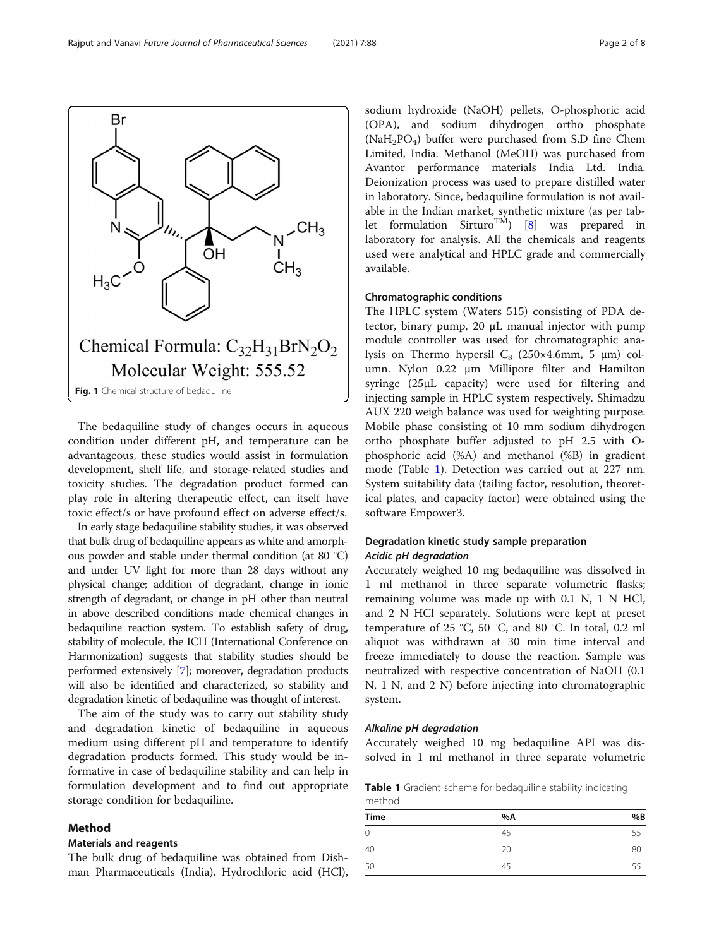The bedaquiline study of changes occurs in aqueous condition under different pH, and temperature can be advantageous, these studies would assist in formulation development, shelf life, and storage-related studies and toxicity studies. The degradation product formed can play role in altering therapeutic effect, can itself have toxic effect/s or have profound effect on adverse effect/s.

In early stage bedaquiline stability studies, it was observed that bulk drug of bedaquiline appears as white and amorphous powder and stable under thermal condition (at 80 °C) and under UV light for more than 28 days without any physical change; addition of degradant, change in ionic strength of degradant, or change in pH other than neutral in above described conditions made chemical changes in bedaquiline reaction system. To establish safety of drug, stability of molecule, the ICH (International Conference on Harmonization) suggests that stability studies should be performed extensively [\[7\]](#page-6-0); moreover, degradation products will also be identified and characterized, so stability and degradation kinetic of bedaquiline was thought of interest.

The aim of the study was to carry out stability study and degradation kinetic of bedaquiline in aqueous medium using different pH and temperature to identify degradation products formed. This study would be informative in case of bedaquiline stability and can help in formulation development and to find out appropriate storage condition for bedaquiline.

# Method

# Materials and reagents

The bulk drug of bedaquiline was obtained from Dishman Pharmaceuticals (India). Hydrochloric acid (HCl), sodium hydroxide (NaOH) pellets, O-phosphoric acid (OPA), and sodium dihydrogen ortho phosphate  $(NaH<sub>2</sub>PO<sub>4</sub>)$  buffer were purchased from S.D fine Chem Limited, India. Methanol (MeOH) was purchased from Avantor performance materials India Ltd. India. Deionization process was used to prepare distilled water in laboratory. Since, bedaquiline formulation is not available in the Indian market, synthetic mixture (as per tab-let formulation Sirturo<sup>TM</sup>) [[8](#page-6-0)] was prepared in laboratory for analysis. All the chemicals and reagents used were analytical and HPLC grade and commercially available.

# Chromatographic conditions

The HPLC system (Waters 515) consisting of PDA detector, binary pump, 20 μL manual injector with pump module controller was used for chromatographic analysis on Thermo hypersil  $C_8$  (250×4.6mm, 5 µm) column. Nylon 0.22 μm Millipore filter and Hamilton syringe (25μL capacity) were used for filtering and injecting sample in HPLC system respectively. Shimadzu AUX 220 weigh balance was used for weighting purpose. Mobile phase consisting of 10 mm sodium dihydrogen ortho phosphate buffer adjusted to pH 2.5 with Ophosphoric acid (%A) and methanol (%B) in gradient mode (Table 1). Detection was carried out at 227 nm. System suitability data (tailing factor, resolution, theoretical plates, and capacity factor) were obtained using the software Empower3.

# Degradation kinetic study sample preparation Acidic pH degradation

Accurately weighed 10 mg bedaquiline was dissolved in 1 ml methanol in three separate volumetric flasks; remaining volume was made up with 0.1 N, 1 N HCl, and 2 N HCl separately. Solutions were kept at preset temperature of 25 °C, 50 °C, and 80 °C. In total, 0.2 ml aliquot was withdrawn at 30 min time interval and freeze immediately to douse the reaction. Sample was neutralized with respective concentration of NaOH (0.1 N, 1 N, and 2 N) before injecting into chromatographic system.

# Alkaline pH degradation

Accurately weighed 10 mg bedaquiline API was dissolved in 1 ml methanol in three separate volumetric

Table 1 Gradient scheme for bedaquiline stability indicating method

| .           |    |    |  |
|-------------|----|----|--|
| <b>Time</b> | %A | %B |  |
| 0           | 45 | 55 |  |
| 40          | 20 | 80 |  |
| 50          | 45 | 55 |  |
|             |    |    |  |

<span id="page-1-0"></span>Br  $CH<sub>3</sub>$ OH  $CH<sub>3</sub>$  $H_3C$ Chemical Formula:  $C_{32}H_{31}BrN_2O_2$ Molecular Weight: 555.52 Fig. 1 Chemical structure of bedaquiline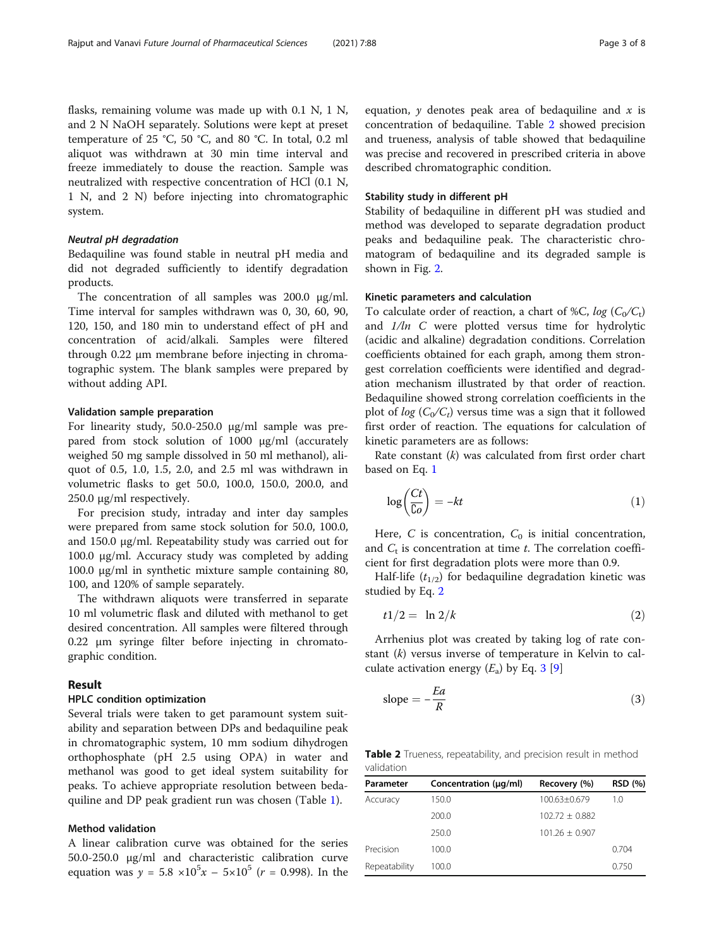flasks, remaining volume was made up with 0.1 N, 1 N, and 2 N NaOH separately. Solutions were kept at preset temperature of 25 °C, 50 °C, and 80 °C. In total, 0.2 ml aliquot was withdrawn at 30 min time interval and freeze immediately to douse the reaction. Sample was neutralized with respective concentration of HCl (0.1 N, 1 N, and 2 N) before injecting into chromatographic system.

# Neutral pH degradation

Bedaquiline was found stable in neutral pH media and did not degraded sufficiently to identify degradation products.

The concentration of all samples was 200.0 μg/ml. Time interval for samples withdrawn was 0, 30, 60, 90, 120, 150, and 180 min to understand effect of pH and concentration of acid/alkali. Samples were filtered through 0.22 μm membrane before injecting in chromatographic system. The blank samples were prepared by without adding API.

# Validation sample preparation

For linearity study, 50.0-250.0 μg/ml sample was prepared from stock solution of 1000 μg/ml (accurately weighed 50 mg sample dissolved in 50 ml methanol), aliquot of 0.5, 1.0, 1.5, 2.0, and 2.5 ml was withdrawn in volumetric flasks to get 50.0, 100.0, 150.0, 200.0, and 250.0 μg/ml respectively.

For precision study, intraday and inter day samples were prepared from same stock solution for 50.0, 100.0, and 150.0 μg/ml. Repeatability study was carried out for 100.0 μg/ml. Accuracy study was completed by adding 100.0 μg/ml in synthetic mixture sample containing 80, 100, and 120% of sample separately.

The withdrawn aliquots were transferred in separate 10 ml volumetric flask and diluted with methanol to get desired concentration. All samples were filtered through 0.22 μm syringe filter before injecting in chromatographic condition.

# Result

# HPLC condition optimization

Several trials were taken to get paramount system suitability and separation between DPs and bedaquiline peak in chromatographic system, 10 mm sodium dihydrogen orthophosphate (pH 2.5 using OPA) in water and methanol was good to get ideal system suitability for peaks. To achieve appropriate resolution between bedaquiline and DP peak gradient run was chosen (Table [1](#page-1-0)).

# Method validation

A linear calibration curve was obtained for the series 50.0-250.0 μg/ml and characteristic calibration curve equation was  $y = 5.8 \times 10^5 x - 5 \times 10^5 (r = 0.998)$ . In the

equation,  $\gamma$  denotes peak area of bedaquiline and  $x$  is concentration of bedaquiline. Table 2 showed precision and trueness, analysis of table showed that bedaquiline was precise and recovered in prescribed criteria in above described chromatographic condition.

# Stability study in different pH

Stability of bedaquiline in different pH was studied and method was developed to separate degradation product peaks and bedaquiline peak. The characteristic chromatogram of bedaquiline and its degraded sample is shown in Fig. [2](#page-3-0).

# Kinetic parameters and calculation

To calculate order of reaction, a chart of %C,  $log (C_0/C_t)$ and  $1/ln$  C were plotted versus time for hydrolytic (acidic and alkaline) degradation conditions. Correlation coefficients obtained for each graph, among them strongest correlation coefficients were identified and degradation mechanism illustrated by that order of reaction. Bedaquiline showed strong correlation coefficients in the plot of  $log (C_0/C_t)$  versus time was a sign that it followed first order of reaction. The equations for calculation of kinetic parameters are as follows:

Rate constant  $(k)$  was calculated from first order chart based on Eq. 1

$$
\log\left(\frac{Ct}{C_o}\right) = -kt\tag{1}
$$

Here, C is concentration,  $C_0$  is initial concentration, and  $C_t$  is concentration at time t. The correlation coefficient for first degradation plots were more than 0.9.

Half-life  $(t_{1/2})$  for bedaquiline degradation kinetic was studied by Eq. 2

$$
t1/2 = \ln 2/k \tag{2}
$$

Arrhenius plot was created by taking log of rate constant (k) versus inverse of temperature in Kelvin to calculate activation energy  $(E_a)$  by Eq. 3 [[9\]](#page-7-0)

$$
slope = -\frac{Ea}{R} \tag{3}
$$

Table 2 Trueness, repeatability, and precision result in method validation

| Parameter     | Concentration (µg/ml) | Recovery (%)     | <b>RSD (%)</b> |
|---------------|-----------------------|------------------|----------------|
| Accuracy      | 150.0                 | 100.63+0.679     | 1.0            |
|               | 200.0                 | $102.72 + 0.882$ |                |
|               | 250.0                 | $101.26 + 0.907$ |                |
| Precision     | 100.0                 |                  | 0.704          |
| Repeatability | 100.0                 |                  | 0.750          |
|               |                       |                  |                |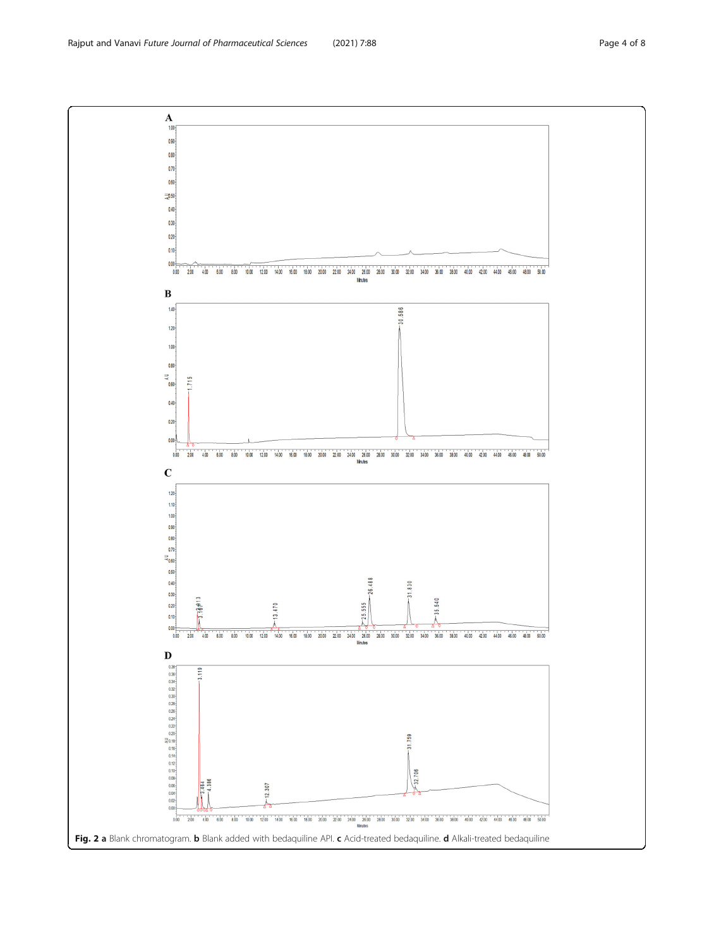<span id="page-3-0"></span>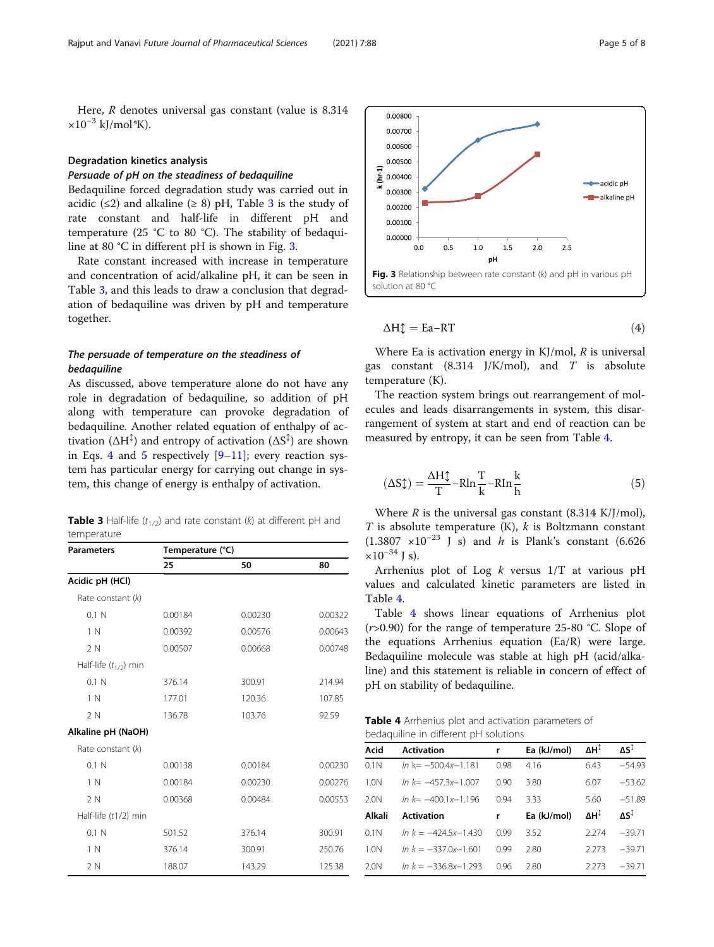<span id="page-4-0"></span>Here, R denotes universal gas constant (value is 8.314  $\times 10^{-3}$  kJ/mol\*K).

# Degradation kinetics analysis

# Persuade of pH on the steadiness of bedaquiline

Bedaquiline forced degradation study was carried out in acidic ( $\leq$ 2) and alkaline ( $\geq$  8) pH, Table 3 is the study of rate constant and half-life in different pH and temperature (25 °C to 80 °C). The stability of bedaquiline at 80 °C in different pH is shown in Fig. 3.

Rate constant increased with increase in temperature and concentration of acid/alkaline pH, it can be seen in Table 3, and this leads to draw a conclusion that degradation of bedaquiline was driven by pH and temperature together.

# The persuade of temperature on the steadiness of bedaquiline

As discussed, above temperature alone do not have any role in degradation of bedaquiline, so addition of pH along with temperature can provoke degradation of bedaquiline. Another related equation of enthalpy of activation ( $\Delta H^{\updownarrow}$ ) and entropy of activation ( $\Delta S^{\updownarrow}$ ) are shown in Eqs. 4 and 5 respectively  $[9-11]$  $[9-11]$  $[9-11]$  $[9-11]$ ; every reaction system has particular energy for carrying out change in system, this change of energy is enthalpy of activation.

**Table 3** Half-life  $(t_{1/2})$  and rate constant (k) at different pH and temperature

| <b>Parameters</b>         | Temperature (°C) |         |         |  |
|---------------------------|------------------|---------|---------|--|
|                           | 25               | 50      | 80      |  |
| Acidic pH (HCl)           |                  |         |         |  |
| Rate constant (k)         |                  |         |         |  |
| 0.1 N                     | 0.00184          | 0.00230 | 0.00322 |  |
| 1 N                       | 0.00392          | 0.00576 | 0.00643 |  |
| 2N                        | 0.00507          | 0.00668 | 0.00748 |  |
| Half-life $(t_{1/2})$ min |                  |         |         |  |
| 0.1 N                     | 376.14           | 300.91  | 214.94  |  |
| 1 N                       | 177.01           | 120.36  | 107.85  |  |
| 2N                        | 136.78           | 103.76  | 92.59   |  |
| Alkaline pH (NaOH)        |                  |         |         |  |
| Rate constant (k)         |                  |         |         |  |
| 0.1 N                     | 0.00138          | 0.00184 | 0.00230 |  |
| 1 N                       | 0.00184          | 0.00230 | 0.00276 |  |
| 2N                        | 0.00368          | 0.00484 | 0.00553 |  |
| Half-life (t1/2) min      |                  |         |         |  |
| 0.1 N                     | 501.52           | 376.14  | 300.91  |  |
| 1 N                       | 376.14           | 300.91  | 250.76  |  |
| 2 N                       | 188.07           | 143.29  | 125.38  |  |



$$
\Delta H \updownarrow = \text{Ea-RT} \tag{4}
$$

Where Ea is activation energy in  $KJ/mol$ , R is universal gas constant  $(8.314 \text{ J/K/mol})$ , and T is absolute temperature (K).

The reaction system brings out rearrangement of molecules and leads disarrangements in system, this disarrangement of system at start and end of reaction can be measured by entropy, it can be seen from Table 4.

$$
(\Delta S \updownarrow) = \frac{\Delta H \updownarrow}{T} - R \ln \frac{T}{k} - R \ln \frac{k}{h}
$$
\n<sup>(5)</sup>

Where *R* is the universal gas constant (8.314 K/J/mol), *T* is absolute temperature (K), *k* is Boltzmann constant T is absolute temperature (K), k is Boltzmann constant<br>(1.3807  $\times$ 10<sup>-23</sup> L s) and h is Plank's constant (6.626)  $(1.3807 \times 10^{-23} \text{ J s})$  and *h* is Plank's constant (6.626 × 10<sup>-34</sup> J s)  $\times 10^{-34}$  J s).

Arrhenius plot of Log k versus 1/T at various pH values and calculated kinetic parameters are listed in Table 4.

Table 4 shows linear equations of Arrhenius plot ( $r > 0.90$ ) for the range of temperature 25-80 °C. Slope of the equations Arrhenius equation (Ea/R) were large. Bedaquiline molecule was stable at high pH (acid/alkaline) and this statement is reliable in concern of effect of pH on stability of bedaquiline.

Table 4 Arrhenius plot and activation parameters of bedaquiline in different pH solutions

| Acid   | <b>Activation</b>         | r    | Ea (kJ/mol) | ΔH <sup>Į</sup> | ΔS <sup>Į</sup> |
|--------|---------------------------|------|-------------|-----------------|-----------------|
| 0.1N   | $ln k = -500.4x - 1.181$  | 0.98 | 4.16        | 6.43            | $-54.93$        |
| 1.0N   | $ln k = -457.3x - 1.007$  | 0.90 | 3.80        | 6.07            | $-53.62$        |
| 2.0N   | $ln k = -400.1x - 1.196$  | 0.94 | 3.33        | 5.60            | $-51.89$        |
| Alkali | <b>Activation</b>         | r    | Ea (kJ/mol) | ΔHĪ             | ΛS <sup>I</sup> |
| 0.1N   | $\ln k = -424.5x - 1.430$ | 0.99 | 3.52        | 2.274           | $-39.71$        |
| 1.0N   | $\ln k = -337.0x - 1.601$ | 0.99 | 2.80        | 2.273           | $-39.71$        |
| 2.0N   | $\ln k = -336.8x - 1.293$ | 0.96 | 2.80        | 2.273           | $-39.71$        |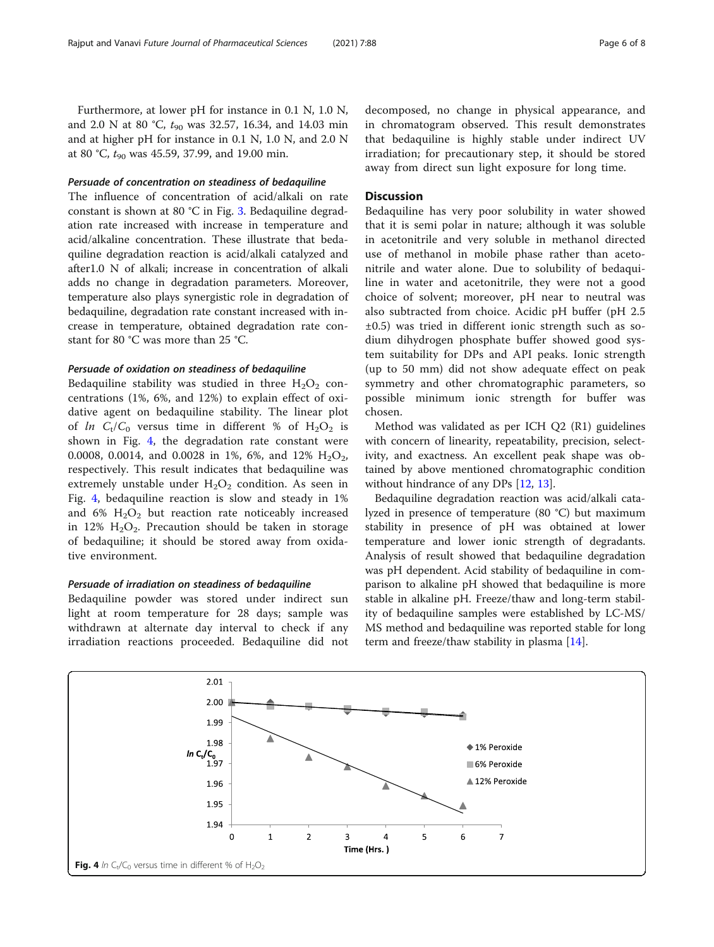Furthermore, at lower pH for instance in 0.1 N, 1.0 N, and 2.0 N at 80 °C,  $t_{90}$  was 32.57, 16.34, and 14.03 min and at higher pH for instance in 0.1 N, 1.0 N, and 2.0 N at 80 °C,  $t_{90}$  was 45.59, 37.99, and 19.00 min.

# Persuade of concentration on steadiness of bedaquiline

The influence of concentration of acid/alkali on rate constant is shown at 80 °C in Fig. [3](#page-4-0). Bedaquiline degradation rate increased with increase in temperature and acid/alkaline concentration. These illustrate that bedaquiline degradation reaction is acid/alkali catalyzed and after1.0 N of alkali; increase in concentration of alkali adds no change in degradation parameters. Moreover, temperature also plays synergistic role in degradation of bedaquiline, degradation rate constant increased with increase in temperature, obtained degradation rate constant for 80 °C was more than 25 °C.

# Persuade of oxidation on steadiness of bedaquiline

Bedaquiline stability was studied in three  $H_2O_2$  concentrations (1%, 6%, and 12%) to explain effect of oxidative agent on bedaquiline stability. The linear plot of ln  $C_t/C_0$  versus time in different % of  $H_2O_2$  is shown in Fig. 4, the degradation rate constant were 0.0008, 0.0014, and 0.0028 in 1%, 6%, and 12%  $H_2O_2$ , respectively. This result indicates that bedaquiline was extremely unstable under  $H_2O_2$  condition. As seen in Fig. 4, bedaquiline reaction is slow and steady in 1% and 6%  $H_2O_2$  but reaction rate noticeably increased in 12%  $H_2O_2$ . Precaution should be taken in storage of bedaquiline; it should be stored away from oxidative environment.

# Persuade of irradiation on steadiness of bedaquiline

Bedaquiline powder was stored under indirect sun light at room temperature for 28 days; sample was withdrawn at alternate day interval to check if any irradiation reactions proceeded. Bedaquiline did not decomposed, no change in physical appearance, and in chromatogram observed. This result demonstrates that bedaquiline is highly stable under indirect UV irradiation; for precautionary step, it should be stored away from direct sun light exposure for long time.

# **Discussion**

Bedaquiline has very poor solubility in water showed that it is semi polar in nature; although it was soluble in acetonitrile and very soluble in methanol directed use of methanol in mobile phase rather than acetonitrile and water alone. Due to solubility of bedaquiline in water and acetonitrile, they were not a good choice of solvent; moreover, pH near to neutral was also subtracted from choice. Acidic pH buffer (pH 2.5 ±0.5) was tried in different ionic strength such as sodium dihydrogen phosphate buffer showed good system suitability for DPs and API peaks. Ionic strength (up to 50 mm) did not show adequate effect on peak symmetry and other chromatographic parameters, so possible minimum ionic strength for buffer was chosen.

Method was validated as per ICH Q2 (R1) guidelines with concern of linearity, repeatability, precision, selectivity, and exactness. An excellent peak shape was obtained by above mentioned chromatographic condition without hindrance of any DPs [[12](#page-7-0), [13](#page-7-0)].

Bedaquiline degradation reaction was acid/alkali catalyzed in presence of temperature (80 °C) but maximum stability in presence of pH was obtained at lower temperature and lower ionic strength of degradants. Analysis of result showed that bedaquiline degradation was pH dependent. Acid stability of bedaquiline in comparison to alkaline pH showed that bedaquiline is more stable in alkaline pH. Freeze/thaw and long-term stability of bedaquiline samples were established by LC-MS/ MS method and bedaquiline was reported stable for long term and freeze/thaw stability in plasma [[14](#page-7-0)].

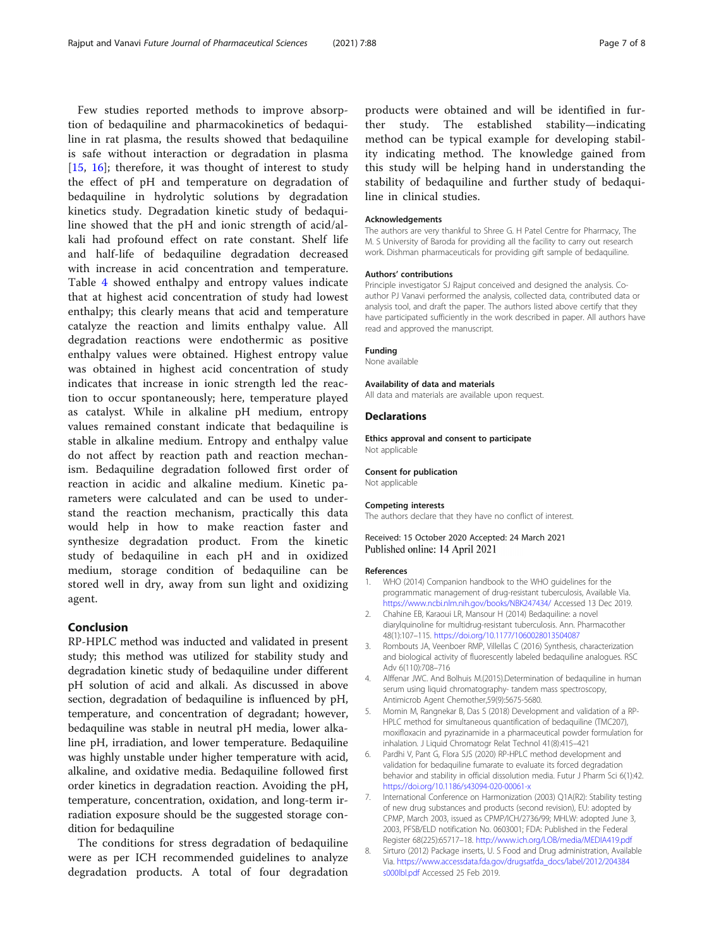<span id="page-6-0"></span>Few studies reported methods to improve absorption of bedaquiline and pharmacokinetics of bedaquiline in rat plasma, the results showed that bedaquiline is safe without interaction or degradation in plasma [[15,](#page-7-0) [16](#page-7-0)]; therefore, it was thought of interest to study the effect of pH and temperature on degradation of bedaquiline in hydrolytic solutions by degradation kinetics study. Degradation kinetic study of bedaquiline showed that the pH and ionic strength of acid/alkali had profound effect on rate constant. Shelf life and half-life of bedaquiline degradation decreased with increase in acid concentration and temperature. Table [4](#page-4-0) showed enthalpy and entropy values indicate that at highest acid concentration of study had lowest enthalpy; this clearly means that acid and temperature catalyze the reaction and limits enthalpy value. All degradation reactions were endothermic as positive enthalpy values were obtained. Highest entropy value was obtained in highest acid concentration of study indicates that increase in ionic strength led the reaction to occur spontaneously; here, temperature played as catalyst. While in alkaline pH medium, entropy values remained constant indicate that bedaquiline is stable in alkaline medium. Entropy and enthalpy value do not affect by reaction path and reaction mechanism. Bedaquiline degradation followed first order of reaction in acidic and alkaline medium. Kinetic parameters were calculated and can be used to understand the reaction mechanism, practically this data would help in how to make reaction faster and synthesize degradation product. From the kinetic study of bedaquiline in each pH and in oxidized medium, storage condition of bedaquiline can be stored well in dry, away from sun light and oxidizing agent.

# Conclusion

RP-HPLC method was inducted and validated in present study; this method was utilized for stability study and degradation kinetic study of bedaquiline under different pH solution of acid and alkali. As discussed in above section, degradation of bedaquiline is influenced by pH, temperature, and concentration of degradant; however, bedaquiline was stable in neutral pH media, lower alkaline pH, irradiation, and lower temperature. Bedaquiline was highly unstable under higher temperature with acid, alkaline, and oxidative media. Bedaquiline followed first order kinetics in degradation reaction. Avoiding the pH, temperature, concentration, oxidation, and long-term irradiation exposure should be the suggested storage condition for bedaquiline

The conditions for stress degradation of bedaquiline were as per ICH recommended guidelines to analyze degradation products. A total of four degradation

products were obtained and will be identified in further study. The established stability—indicating method can be typical example for developing stability indicating method. The knowledge gained from this study will be helping hand in understanding the stability of bedaquiline and further study of bedaquiline in clinical studies.

### Acknowledgements

The authors are very thankful to Shree G. H Patel Centre for Pharmacy, The M. S University of Baroda for providing all the facility to carry out research work. Dishman pharmaceuticals for providing gift sample of bedaquiline.

### Authors' contributions

Principle investigator SJ Rajput conceived and designed the analysis. Coauthor PJ Vanavi performed the analysis, collected data, contributed data or analysis tool, and draft the paper. The authors listed above certify that they have participated sufficiently in the work described in paper. All authors have read and approved the manuscript.

# Funding

None available

#### Availability of data and materials

All data and materials are available upon request.

## **Declarations**

Ethics approval and consent to participate Not applicable

#### Consent for publication

Not applicable

# Competing interests

The authors declare that they have no conflict of interest.

# Received: 15 October 2020 Accepted: 24 March 2021 Published online: 14 April 2021

#### References

- 1. WHO (2014) Companion handbook to the WHO guidelines for the programmatic management of drug-resistant tuberculosis, Available Via. <https://www.ncbi.nlm.nih.gov/books/NBK247434/> Accessed 13 Dec 2019.
- 2. Chahine EB, Karaoui LR, Mansour H (2014) Bedaquiline: a novel diarylquinoline for multidrug-resistant tuberculosis. Ann. Pharmacother 48(1):107–115. <https://doi.org/10.1177/1060028013504087>
- 3. Rombouts JA, Veenboer RMP, Villellas C (2016) Synthesis, characterization and biological activity of fluorescently labeled bedaquiline analogues. RSC Adv 6(110):708–716
- 4. Alffenar JWC. And Bolhuis M.(2015).Determination of bedaquiline in human serum using liquid chromatography- tandem mass spectroscopy, Antimicrob Agent Chemother,59(9):5675-5680.
- 5. Momin M, Rangnekar B, Das S (2018) Development and validation of a RP-HPLC method for simultaneous quantification of bedaquiline (TMC207), moxifloxacin and pyrazinamide in a pharmaceutical powder formulation for inhalation. J Liquid Chromatogr Relat Technol 41(8):415–421
- 6. Pardhi V, Pant G, Flora SJS (2020) RP-HPLC method development and validation for bedaquiline fumarate to evaluate its forced degradation behavior and stability in official dissolution media. Futur J Pharm Sci 6(1):42. <https://doi.org/10.1186/s43094-020-00061-x>
- 7. International Conference on Harmonization (2003) Q1A(R2): Stability testing of new drug substances and products (second revision), EU: adopted by CPMP, March 2003, issued as CPMP/ICH/2736/99; MHLW: adopted June 3, 2003, PFSB/ELD notification No. 0603001; FDA: Published in the Federal Register 68(225):65717–18. <http://www.ich.org/LOB/media/MEDIA419.pdf>
- 8. Sirturo (2012) Package inserts, U. S Food and Drug administration, Available Via. [https://www.accessdata.fda.gov/drugsatfda\\_docs/label/2012/204384](https://www.accessdata.fda.gov/drugsatfda_docs/label/2012/204384s000lbl.pdf) [s000lbl.pdf](https://www.accessdata.fda.gov/drugsatfda_docs/label/2012/204384s000lbl.pdf) Accessed 25 Feb 2019.